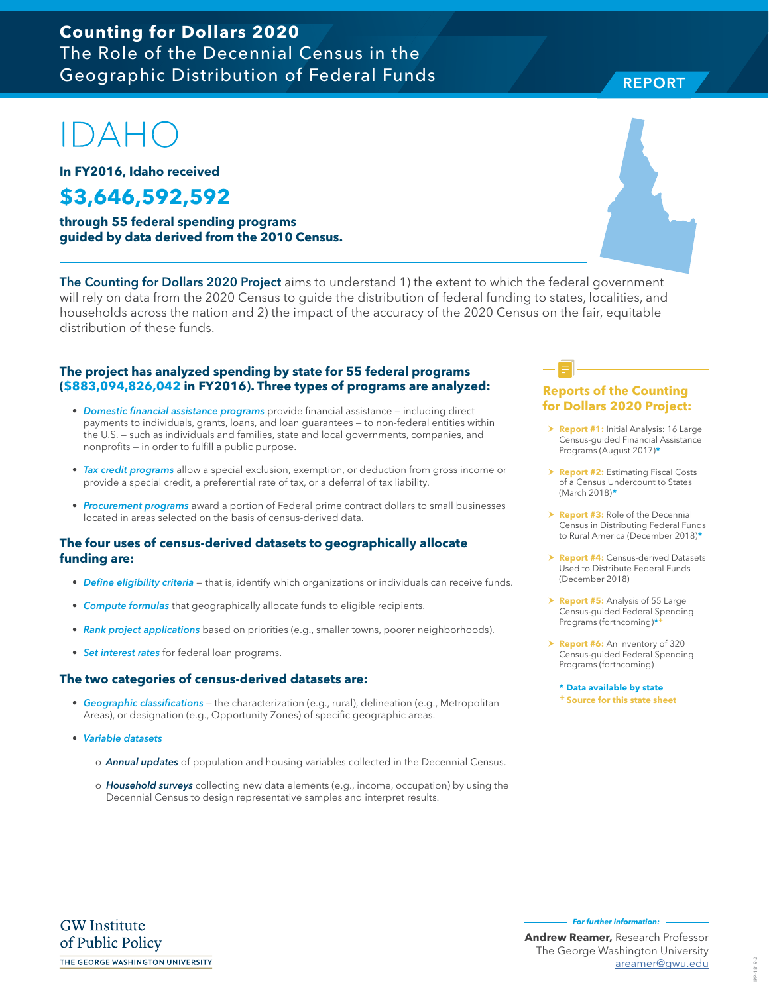### **Counting for Dollars 2020**  The Role of the Decennial Census in the Geographic Distribution of Federal Funds

# $\Box$

**In FY2016, Idaho received**

## **\$3,646,592,592**

**through 55 federal spending programs guided by data derived from the 2010 Census.**

The Counting for Dollars 2020 Project aims to understand 1) the extent to which the federal government will rely on data from the 2020 Census to guide the distribution of federal funding to states, localities, and households across the nation and 2) the impact of the accuracy of the 2020 Census on the fair, equitable distribution of these funds.

#### **The project has analyzed spending by state for 55 federal programs (\$883,094,826,042 in FY2016). Three types of programs are analyzed:**

- Domestic financial assistance programs provide financial assistance including direct payments to individuals, grants, loans, and loan guarantees — to non-federal entities within the U.S. — such as individuals and families, state and local governments, companies, and nonprofits — in order to fulfill a public purpose.
- Tax credit programs allow a special exclusion, exemption, or deduction from gross income or provide a special credit, a preferential rate of tax, or a deferral of tax liability.
- Procurement programs award a portion of Federal prime contract dollars to small businesses located in areas selected on the basis of census-derived data.

#### **The four uses of census-derived datasets to geographically allocate funding are:**

- Define eligibility criteria that is, identify which organizations or individuals can receive funds.
- Compute formulas that geographically allocate funds to eligible recipients.
- Rank project applications based on priorities (e.g., smaller towns, poorer neighborhoods).
- Set interest rates for federal loan programs.

#### **The two categories of census-derived datasets are:**

- Geographic classifications the characterization (e.g., rural), delineation (e.g., Metropolitan Areas), or designation (e.g., Opportunity Zones) of specific geographic areas.
- Variable datasets
	- o **Annual updates** of population and housing variables collected in the Decennial Census.
	- o Household surveys collecting new data elements (e.g., income, occupation) by using the Decennial Census to design representative samples and interpret results.

#### **Reports of the Counting for Dollars 2020 Project:**

- **> Report #1:** Initial Analysis: 16 Large Census-guided Financial Assistance Programs (August 2017)**\***
- **h Report #2: Estimating Fiscal Costs** of a Census Undercount to States (March 2018)**\***
- **Report #3:** Role of the Decennial Census in Distributing Federal Funds to Rural America (December 2018)**\***
- **Report #4: Census-derived Datasets** Used to Distribute Federal Funds (December 2018)
- > **Report #5:** Analysis of 55 Large Census-guided Federal Spending Programs (forthcoming)**\*+**
- > **Report #6:** An Inventory of 320 Census-guided Federal Spending Programs (forthcoming)

**\* Data available by state + Source for this state sheet**



**REPORT** REPORT

> IPP-1819-3 IPP-1819-3

**For further information:** 

**Andrew Reamer,** Research Professor The George Washington University areamer@gwu.edu